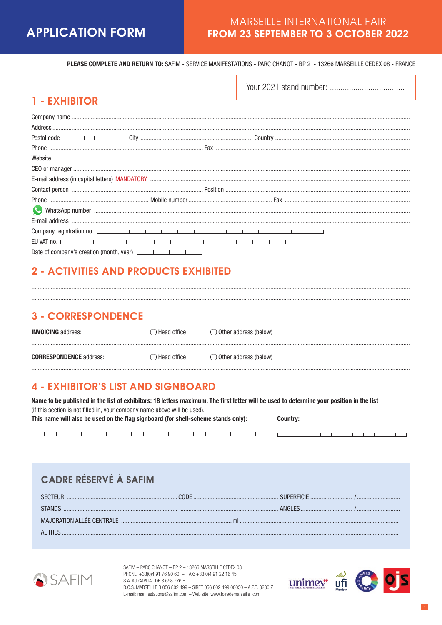## **MARSEILLE INTERNATIONAL FAIR FROM 23 SEPTEMBER TO 3 OCTOBER 2022**

PLEASE COMPLETE AND RETURN TO: SAFIM - SERVICE MANIFESTATIONS - PARC CHANOT - BP 2 - 13266 MARSEILLE CEDEX 08 - FRANCE

## **1 - EXHIBITOR**

| Postal code                                     |  |  |
|-------------------------------------------------|--|--|
|                                                 |  |  |
|                                                 |  |  |
|                                                 |  |  |
|                                                 |  |  |
|                                                 |  |  |
|                                                 |  |  |
|                                                 |  |  |
|                                                 |  |  |
|                                                 |  |  |
|                                                 |  |  |
| Date of company's creation (month, year) $\Box$ |  |  |

## **2 - ACTIVITIES AND PRODUCTS EXHIBITED**

## **3 - CORRESPONDENCE**

| <b>INVOICING</b> address:      | $\supset$ Head office | $\bigcirc$ Other address (below) |  |
|--------------------------------|-----------------------|----------------------------------|--|
| <b>CORRESPONDENCE</b> address: | $\supset$ Head office | Other address (below)            |  |
|                                |                       |                                  |  |

## **4 - EXHIBITOR'S LIST AND SIGNBOARD**

The control of the control of the control of the control of the control of the control of the control of the control of the control of the control of the control of the control of the control of the control of the control

| Name to be published in the list of exhibitors: 18 letters maximum. The first letter will be used to determine vour position in the list |          |
|------------------------------------------------------------------------------------------------------------------------------------------|----------|
| (if this section is not filled in, your company name above will be used).                                                                |          |
| This name will also be used on the flag signboard (for shell-scheme stands only):                                                        | Country: |

# CADRE RÉSERVÉ À SAFIM



 $\mathbf{I}$ 

SAFIM - PARC CHANOT - BP 2 - 13266 MARSEILLE CEDEX 08 PHONE: +33(0)4 91 76 90 60 - FAX: +33(0)4 91 22 16 45 S.A. AU CAPITAL DE 3 658 776 E R.C.S. MARSEILLE B 056 802 499 - SIRET 056 802 499 00030 - A.P.E. 8230 Z E-mail: manifestations@safim.com - Web site: www.foiredemarseille .com



**THEFT FEBRUARY** 

 $\mathbb{L}$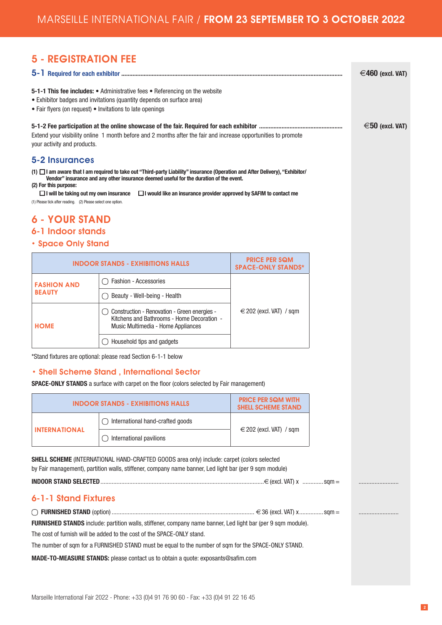**Contract** 

# 5 - REGISTRATION FEE

|                                                                                                                                       |                                                                                                                                                                                                                                                                                                                                                                                           |                                                        |  | €460 (excl. VAT)     |
|---------------------------------------------------------------------------------------------------------------------------------------|-------------------------------------------------------------------------------------------------------------------------------------------------------------------------------------------------------------------------------------------------------------------------------------------------------------------------------------------------------------------------------------------|--------------------------------------------------------|--|----------------------|
| • Fair flyers (on request) • Invitations to late openings                                                                             | 5-1-1 This fee includes: • Administrative fees • Referencing on the website<br>• Exhibitor badges and invitations (quantity depends on surface area)                                                                                                                                                                                                                                      |                                                        |  |                      |
| your activity and products.                                                                                                           | Extend your visibility online 1 month before and 2 months after the fair and increase opportunities to promote                                                                                                                                                                                                                                                                            |                                                        |  | $\in$ 50 (excl. VAT) |
| <b>5-2 Insurances</b>                                                                                                                 |                                                                                                                                                                                                                                                                                                                                                                                           |                                                        |  |                      |
| (2) For this purpose:<br>$\Box$ I will be taking out my own insurance<br>(1) Please tick after reading. (2) Please select one option. | (1) $\Box$ I am aware that I am required to take out "Third-party Liability" insurance (Operation and After Delivery), "Exhibitor/<br>Vendor" insurance and any other insurance deemed useful for the duration of the event.<br>$\Box$ I would like an insurance provider approved by SAFIM to contact me                                                                                 |                                                        |  |                      |
| <b>6 - YOUR STAND</b>                                                                                                                 |                                                                                                                                                                                                                                                                                                                                                                                           |                                                        |  |                      |
| 6-1 Indoor stands                                                                                                                     |                                                                                                                                                                                                                                                                                                                                                                                           |                                                        |  |                      |
| • Space Only Stand                                                                                                                    |                                                                                                                                                                                                                                                                                                                                                                                           |                                                        |  |                      |
|                                                                                                                                       | <b>INDOOR STANDS - EXHIBITIONS HALLS</b>                                                                                                                                                                                                                                                                                                                                                  | <b>PRICE PER SQM</b><br><b>SPACE-ONLY STANDS*</b>      |  |                      |
| <b>FASHION AND</b>                                                                                                                    | <b>Fashion - Accessories</b>                                                                                                                                                                                                                                                                                                                                                              |                                                        |  |                      |
| <b>BEAUTY</b>                                                                                                                         | Beauty - Well-being - Health                                                                                                                                                                                                                                                                                                                                                              |                                                        |  |                      |
| <b>HOME</b>                                                                                                                           | Construction - Renovation - Green energies -<br>Kitchens and Bathrooms - Home Decoration -<br>Music Multimedia - Home Appliances                                                                                                                                                                                                                                                          | $\epsilon$ 202 (excl. VAT) / sqm                       |  |                      |
|                                                                                                                                       | Household tips and gadgets                                                                                                                                                                                                                                                                                                                                                                |                                                        |  |                      |
|                                                                                                                                       | *Stand fixtures are optional: please read Section 6-1-1 below                                                                                                                                                                                                                                                                                                                             |                                                        |  |                      |
|                                                                                                                                       | • Shell Scheme Stand, International Sector                                                                                                                                                                                                                                                                                                                                                |                                                        |  |                      |
|                                                                                                                                       | <b>SPACE-ONLY STANDS</b> a surface with carpet on the floor (colors selected by Fair management)                                                                                                                                                                                                                                                                                          |                                                        |  |                      |
|                                                                                                                                       | <b>INDOOR STANDS - EXHIBITIONS HALLS</b>                                                                                                                                                                                                                                                                                                                                                  | <b>PRICE PER SQM WITH</b><br><b>SHELL SCHEME STAND</b> |  |                      |
|                                                                                                                                       | International hand-crafted goods                                                                                                                                                                                                                                                                                                                                                          |                                                        |  |                      |
| <b>INTERNATIONAL</b>                                                                                                                  | $\bigcirc$ International pavilions                                                                                                                                                                                                                                                                                                                                                        | $\epsilon$ 202 (excl. VAT) / sqm                       |  |                      |
|                                                                                                                                       | SHELL SCHEME (INTERNATIONAL HAND-CRAFTED GOODS area only) include: carpet (colors selected<br>by Fair management), partition walls, stiffener, company name banner, Led light bar (per 9 sqm module)                                                                                                                                                                                      |                                                        |  |                      |
|                                                                                                                                       |                                                                                                                                                                                                                                                                                                                                                                                           |                                                        |  |                      |
| 6-1-1 Stand Fixtures                                                                                                                  |                                                                                                                                                                                                                                                                                                                                                                                           |                                                        |  |                      |
|                                                                                                                                       | FURNISHED STANDS include: partition walls, stiffener, company name banner, Led light bar (per 9 sqm module).<br>The cost of furnish will be added to the cost of the SPACE-ONLY stand.<br>The number of sqm for a FURNISHED STAND must be equal to the number of sqm for the SPACE-ONLY STAND.<br><b>MADE-TO-MEASURE STANDS:</b> please contact us to obtain a quote: exposants@safim.com |                                                        |  |                      |
|                                                                                                                                       |                                                                                                                                                                                                                                                                                                                                                                                           |                                                        |  |                      |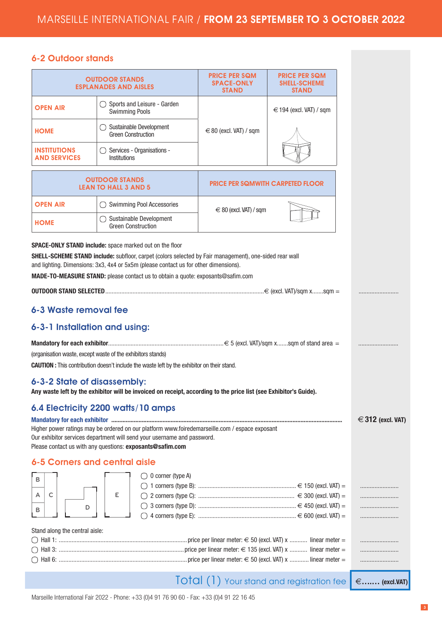### 6-2 Outdoor stands

|                                                                                                                                                                                                                                                                                                                                                                                           | <b>OUTDOOR STANDS</b><br><b>ESPLANADES AND AISLES</b> | <b>PRICE PER SQM</b><br><b>SPACE-ONLY</b><br><b>STAND</b> | <b>PRICE PER SQM</b><br><b>SHELL-SCHEME</b><br><b>STAND</b> |                   |
|-------------------------------------------------------------------------------------------------------------------------------------------------------------------------------------------------------------------------------------------------------------------------------------------------------------------------------------------------------------------------------------------|-------------------------------------------------------|-----------------------------------------------------------|-------------------------------------------------------------|-------------------|
| <b>OPEN AIR</b>                                                                                                                                                                                                                                                                                                                                                                           | Sports and Leisure - Garden<br><b>Swimming Pools</b>  |                                                           | $\epsilon$ 194 (excl. VAT) / sqm                            |                   |
| <b>HOME</b>                                                                                                                                                                                                                                                                                                                                                                               | Sustainable Development<br><b>Green Construction</b>  | $\in$ 80 (excl. VAT) / sqm                                |                                                             |                   |
| <b>INSTITUTIONS</b><br><b>AND SERVICES</b>                                                                                                                                                                                                                                                                                                                                                | Services - Organisations -<br>Institutions            |                                                           |                                                             |                   |
|                                                                                                                                                                                                                                                                                                                                                                                           | <b>OUTDOOR STANDS</b><br><b>LEAN TO HALL 3 AND 5</b>  | <b>PRICE PER SQMWITH CARPETED FLOOR</b>                   |                                                             |                   |
| <b>OPEN AIR</b>                                                                                                                                                                                                                                                                                                                                                                           | Swimming Pool Accessories                             | $\epsilon \in 80$ (excl. VAT) / sqm                       |                                                             |                   |
| <b>HOME</b>                                                                                                                                                                                                                                                                                                                                                                               | Sustainable Development<br><b>Green Construction</b>  |                                                           |                                                             |                   |
| <b>SPACE-ONLY STAND include:</b> space marked out on the floor<br>SHELL-SCHEME STAND include: subfloor, carpet (colors selected by Fair management), one-sided rear wall<br>and lighting. Dimensions: 3x3, 4x4 or 5x5m (please contact us for other dimensions).<br>MADE-TO-MEASURE STAND: please contact us to obtain a quote: exposants@safim.com                                       |                                                       |                                                           |                                                             |                   |
|                                                                                                                                                                                                                                                                                                                                                                                           |                                                       |                                                           |                                                             |                   |
| 6-3 Waste removal fee                                                                                                                                                                                                                                                                                                                                                                     |                                                       |                                                           |                                                             |                   |
| 6-3-1 Installation and using:                                                                                                                                                                                                                                                                                                                                                             |                                                       |                                                           |                                                             |                   |
| (organisation waste, except waste of the exhibitors stands)<br><b>CAUTION</b> : This contribution doesn't include the waste left by the exhibitor on their stand.                                                                                                                                                                                                                         |                                                       |                                                           |                                                             |                   |
| 6-3-2 State of disassembly:<br>Any waste left by the exhibitor will be invoiced on receipt, according to the price list (see Exhibitor's Guide).                                                                                                                                                                                                                                          |                                                       |                                                           |                                                             |                   |
| 6.4 Electricity 2200 watts/10 amps<br>Mandatory for each exhibitor manual manual manual manual manual manual manual manual manual manual manual<br>Higher power ratings may be ordered on our platform www.foiredemarseille.com / espace exposant<br>Our exhibitor services department will send your username and password.<br>Please contact us with any questions: exposants@safim.com |                                                       |                                                           |                                                             | € 312 (excl. VAT) |
| 6-5 Corners and central aisle                                                                                                                                                                                                                                                                                                                                                             |                                                       |                                                           |                                                             |                   |
| в<br>С<br>Α<br>D<br>В                                                                                                                                                                                                                                                                                                                                                                     | 0 corner (type A)<br>Ε                                |                                                           |                                                             |                   |
| Stand along the central aisle:                                                                                                                                                                                                                                                                                                                                                            |                                                       |                                                           |                                                             |                   |
|                                                                                                                                                                                                                                                                                                                                                                                           |                                                       |                                                           |                                                             |                   |
|                                                                                                                                                                                                                                                                                                                                                                                           |                                                       |                                                           |                                                             |                   |

Total (1) Your stand and registration fee €**….… (excl.VAT)**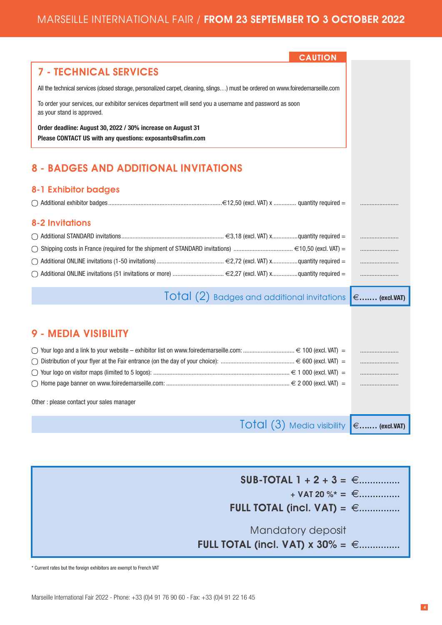| <b>CAUTION</b>                                                                                                                        |  |
|---------------------------------------------------------------------------------------------------------------------------------------|--|
| <b>7 - TECHNICAL SERVICES</b>                                                                                                         |  |
| All the technical services (closed storage, personalized carpet, cleaning, slings) must be ordered on www.foiredemarseille.com        |  |
| To order your services, our exhibitor services department will send you a username and password as soon<br>as your stand is approved. |  |
| Order deadline: August 30, 2022 / 30% increase on August 31<br>Please CONTACT US with any questions: exposants@safim.com              |  |
|                                                                                                                                       |  |
| <b>8 - BADGES AND ADDITIONAL INVITATIONS</b>                                                                                          |  |
| <b>8-1 Exhibitor badges</b>                                                                                                           |  |
|                                                                                                                                       |  |
| <b>8-2 Invitations</b>                                                                                                                |  |
|                                                                                                                                       |  |
|                                                                                                                                       |  |
|                                                                                                                                       |  |
| Additional ONLINE invitations (51 invitations or more)  €2,27 (excl. VAT) xquantity required =                                        |  |
| $\overline{1}$ O $\overline{1}$ Q $\overline{1}$ (2) Badges and additional invitations $\epsilon$ (excl.VAT)                          |  |
|                                                                                                                                       |  |
| 9 - MEDIA VISIBILITY                                                                                                                  |  |
|                                                                                                                                       |  |
|                                                                                                                                       |  |
|                                                                                                                                       |  |
|                                                                                                                                       |  |
| Other : please contact your sales manager                                                                                             |  |
| $\overline{1}$ O $\overline{1}$ Q $\overline{1}$ (3) Media visibility $\overline{e$ (excl.VAT)                                        |  |

 $SUB-TOTAL 1 + 2 + 3 = \in$ ................  $+$  VAT 20 %\* =  $\in$ ............... **FULL TOTAL (incl. VAT)** =  $\in$  ................ Mandatory deposit **FULL TOTAL (incl. VAT) x 30% =**  $∈$ **...............** 

\* Current rates but the foreign exhibitors are exempt to French VAT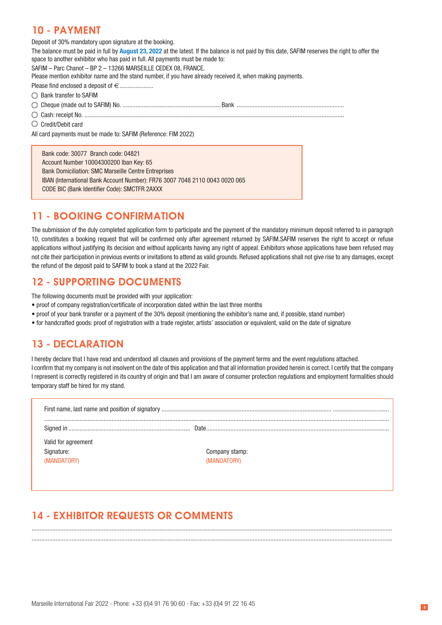## 10 - PAYMENT

Deposit of 30% mandatory upon signature at the booking.

The balance must be paid in full by **August 23, 2022** at the latest. If the balance is not paid by this date, SAFIM reserves the right to offer the space to another exhibitor who has paid in full. All payments must be made to:

SAFIM – Parc Chanot – BP 2 – 13266 MARSEILLE CEDEX 08, FRANCE.

Please mention exhibitor name and the stand number, if you have already received it, when making payments.

Please find enclosed a deposit of e.....................

- ◯ Bank transfer to SAFIM
- Cheque (made out to SAFIM) No. ............................................................. Bank ...................................................................

Cash: receipt No. ..................................................................................................................................................................

Credit/Debit card

All card payments must be made to: SAFIM (Reference: FIM 2022)

Bank code: 30077 Branch code: 04821 Account Number 10004300200 Iban Key: 65 Bank Domiciliation: SMC Marseille Centre Entreprises IBAN (International Bank Account Number): FR76 3007 7048 2110 0043 0020 065 CODE BIC (Bank Identifier Code): SMCTFR 2AXXX

## 11 - BOOKING CONFIRMATION

The submission of the duly completed application form to participate and the payment of the mandatory minimum deposit referred to in paragraph 10, constitutes a booking request that will be confirmed only after agreement returned by SAFIM.SAFIM reserves the right to accept or refuse applications without justifying its decision and without applicants having any right of appeal. Exhibitors whose applications have been refused may not cite their participation in previous events or invitations to attend as valid grounds. Refused applications shall not give rise to any damages, except the refund of the deposit paid to SAFIM to book a stand at the 2022 Fair.

## 12 - SUPPORTING DOCUMENTS

The following documents must be provided with your application:

- proof of company registration/certificate of incorporation dated within the last three months
- proof of your bank transfer or a payment of the 30% deposit (mentioning the exhibitor's name and, if possible, stand number)
- for handcrafted goods: proof of registration with a trade register, artists' association or equivalent, valid on the date of signature

## 13 - DECLARATION

I hereby declare that I have read and understood all clauses and provisions of the payment terms and the event regulations attached. I confirm that my company is not insolvent on the date of this application and that all information provided herein is correct. I certify that the company I represent is correctly registered in its country of origin and that I am aware of consumer protection regulations and employment formalities should temporary staff be hired for my stand.

| Valid for agreement<br>Signature:<br>(MANDATORY) | Company stamp:<br>(MANDATORY) |
|--------------------------------------------------|-------------------------------|

................................................................................................................................................................................................................................. .................................................................................................................................................................................................................................

# 14 - EXHIBITOR REQUESTS OR COMMENTS